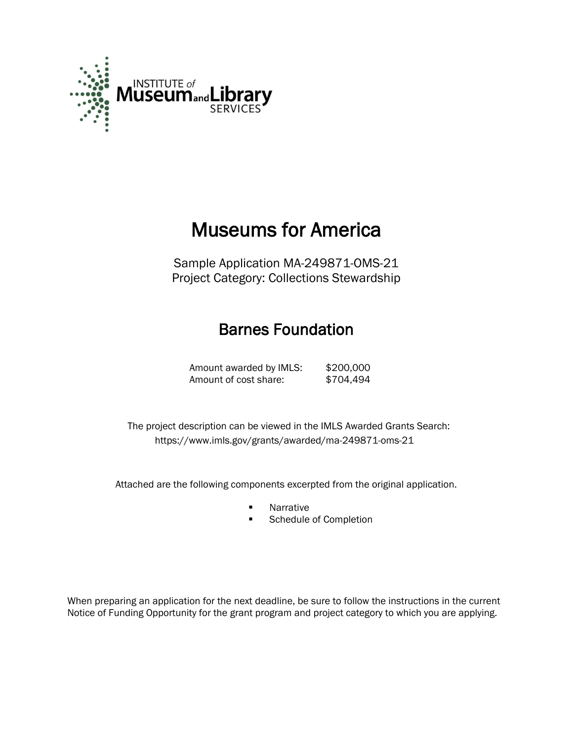

# Museums for America

Sample Application MA-249871-OMS-21 Project Category: Collections Stewardship

## Barnes Foundation

Amount awarded by IMLS: \$200,000 Amount of cost share: \$704,494

 The project description can be viewed in the IMLS Awarded Grants Search: <https://www.imls.gov/grants/awarded/ma-249871-oms-21>

Attached are the following components excerpted from the original application.

- **Narrative**
- **Schedule of Completion**

When preparing an application for the next deadline, be sure to follow the instructions in the current Notice of Funding Opportunity for the grant program and project category to which you are applying.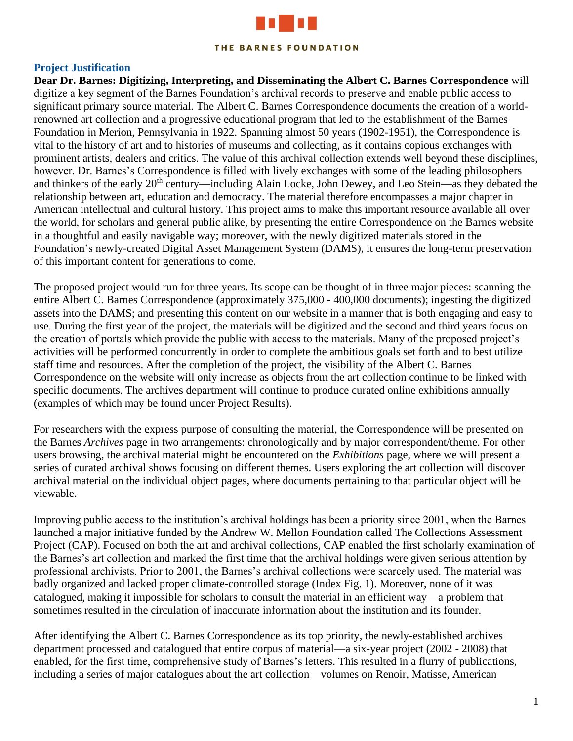

#### THE BARNES FOUNDATION

#### **Project Justification**

**Dear Dr. Barnes: Digitizing, Interpreting, and Disseminating the Albert C. Barnes Correspondence** will digitize a key segment of the Barnes Foundation's archival records to preserve and enable public access to significant primary source material. The Albert C. Barnes Correspondence documents the creation of a worldrenowned art collection and a progressive educational program that led to the establishment of the Barnes Foundation in Merion, Pennsylvania in 1922. Spanning almost 50 years (1902-1951), the Correspondence is vital to the history of art and to histories of museums and collecting, as it contains copious exchanges with prominent artists, dealers and critics. The value of this archival collection extends well beyond these disciplines, however. Dr. Barnes's Correspondence is filled with lively exchanges with some of the leading philosophers and thinkers of the early 20<sup>th</sup> century—including Alain Locke, John Dewey, and Leo Stein—as they debated the relationship between art, education and democracy. The material therefore encompasses a major chapter in American intellectual and cultural history. This project aims to make this important resource available all over the world, for scholars and general public alike, by presenting the entire Correspondence on the Barnes website in a thoughtful and easily navigable way; moreover, with the newly digitized materials stored in the Foundation's newly-created Digital Asset Management System (DAMS), it ensures the long-term preservation of this important content for generations to come.

The proposed project would run for three years. Its scope can be thought of in three major pieces: scanning the entire Albert C. Barnes Correspondence (approximately 375,000 - 400,000 documents); ingesting the digitized assets into the DAMS; and presenting this content on our website in a manner that is both engaging and easy to use. During the first year of the project, the materials will be digitized and the second and third years focus on the creation of portals which provide the public with access to the materials. Many of the proposed project's activities will be performed concurrently in order to complete the ambitious goals set forth and to best utilize staff time and resources. After the completion of the project, the visibility of the Albert C. Barnes Correspondence on the website will only increase as objects from the art collection continue to be linked with specific documents. The archives department will continue to produce curated online exhibitions annually (examples of which may be found under Project Results).

For researchers with the express purpose of consulting the material, the Correspondence will be presented on the Barnes *Archives* page in two arrangements: chronologically and by major correspondent/theme. For other users browsing, the archival material might be encountered on the *Exhibitions* page, where we will present a series of curated archival shows focusing on different themes. Users exploring the art collection will discover archival material on the individual object pages, where documents pertaining to that particular object will be viewable.

Improving public access to the institution's archival holdings has been a priority since 2001, when the Barnes launched a major initiative funded by the Andrew W. Mellon Foundation called The Collections Assessment Project (CAP). Focused on both the art and archival collections, CAP enabled the first scholarly examination of the Barnes's art collection and marked the first time that the archival holdings were given serious attention by professional archivists. Prior to 2001, the Barnes's archival collections were scarcely used. The material was badly organized and lacked proper climate-controlled storage (Index Fig. 1). Moreover, none of it was catalogued, making it impossible for scholars to consult the material in an efficient way—a problem that sometimes resulted in the circulation of inaccurate information about the institution and its founder.

After identifying the Albert C. Barnes Correspondence as its top priority, the newly-established archives department processed and catalogued that entire corpus of material—a six-year project (2002 - 2008) that enabled, for the first time, comprehensive study of Barnes's letters. This resulted in a flurry of publications, including a series of major catalogues about the art collection—volumes on Renoir, Matisse, American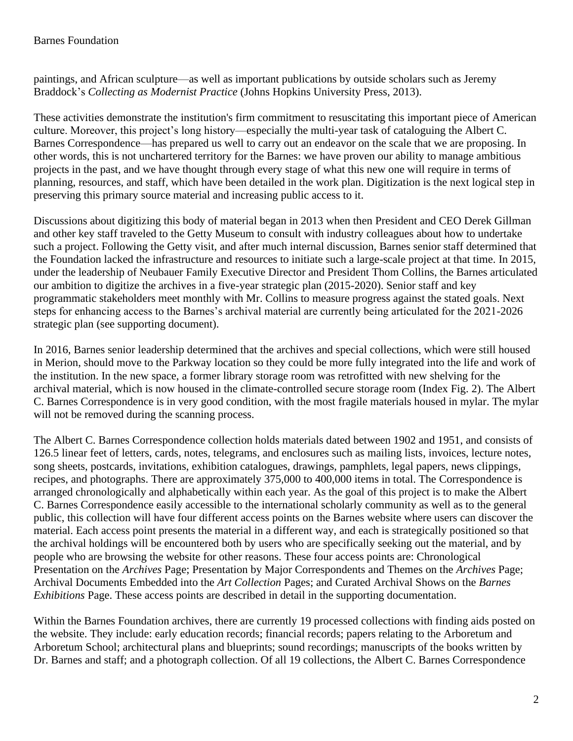paintings, and African sculpture—as well as important publications by outside scholars such as Jeremy Braddock's *Collecting as Modernist Practice* (Johns Hopkins University Press, 2013).

These activities demonstrate the institution's firm commitment to resuscitating this important piece of American culture. Moreover, this project's long history—especially the multi-year task of cataloguing the Albert C. Barnes Correspondence—has prepared us well to carry out an endeavor on the scale that we are proposing. In other words, this is not unchartered territory for the Barnes: we have proven our ability to manage ambitious projects in the past, and we have thought through every stage of what this new one will require in terms of planning, resources, and staff, which have been detailed in the work plan. Digitization is the next logical step in preserving this primary source material and increasing public access to it.

Discussions about digitizing this body of material began in 2013 when then President and CEO Derek Gillman and other key staff traveled to the Getty Museum to consult with industry colleagues about how to undertake such a project. Following the Getty visit, and after much internal discussion, Barnes senior staff determined that the Foundation lacked the infrastructure and resources to initiate such a large-scale project at that time. In 2015, under the leadership of Neubauer Family Executive Director and President Thom Collins, the Barnes articulated our ambition to digitize the archives in a five-year strategic plan (2015-2020). Senior staff and key programmatic stakeholders meet monthly with Mr. Collins to measure progress against the stated goals. Next steps for enhancing access to the Barnes's archival material are currently being articulated for the 2021-2026 strategic plan (see supporting document).

In 2016, Barnes senior leadership determined that the archives and special collections, which were still housed in Merion, should move to the Parkway location so they could be more fully integrated into the life and work of the institution. In the new space, a former library storage room was retrofitted with new shelving for the archival material, which is now housed in the climate-controlled secure storage room (Index Fig. 2). The Albert C. Barnes Correspondence is in very good condition, with the most fragile materials housed in mylar. The mylar will not be removed during the scanning process.

The Albert C. Barnes Correspondence collection holds materials dated between 1902 and 1951, and consists of 126.5 linear feet of letters, cards, notes, telegrams, and enclosures such as mailing lists, invoices, lecture notes, song sheets, postcards, invitations, exhibition catalogues, drawings, pamphlets, legal papers, news clippings, recipes, and photographs. There are approximately 375,000 to 400,000 items in total. The Correspondence is arranged chronologically and alphabetically within each year. As the goal of this project is to make the Albert C. Barnes Correspondence easily accessible to the international scholarly community as well as to the general public, this collection will have four different access points on the Barnes website where users can discover the material. Each access point presents the material in a different way, and each is strategically positioned so that the archival holdings will be encountered both by users who are specifically seeking out the material, and by people who are browsing the website for other reasons. These four access points are: Chronological Presentation on the *Archives* Page; Presentation by Major Correspondents and Themes on the *Archives* Page; Archival Documents Embedded into the *Art Collection* Pages; and Curated Archival Shows on the *Barnes Exhibitions* Page. These access points are described in detail in the supporting documentation.

Within the Barnes Foundation archives, there are currently 19 processed collections with finding aids posted on the website. They include: early education records; financial records; papers relating to the Arboretum and Arboretum School; architectural plans and blueprints; sound recordings; manuscripts of the books written by Dr. Barnes and staff; and a photograph collection. Of all 19 collections, the Albert C. Barnes Correspondence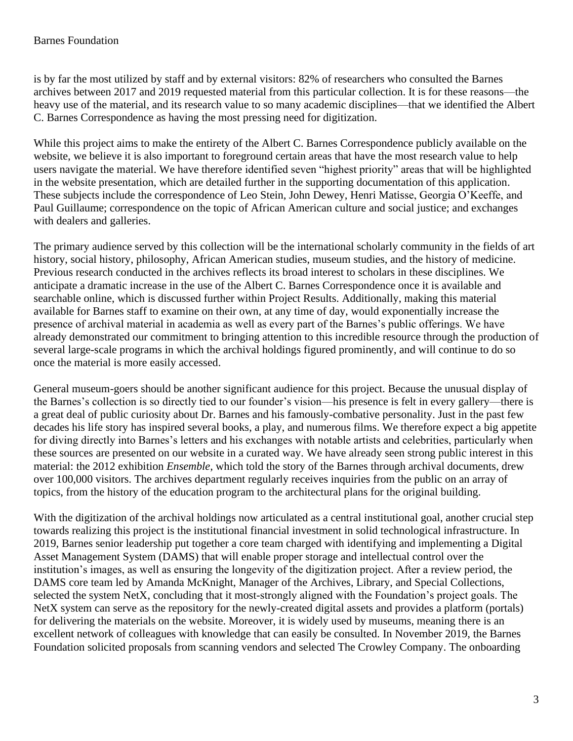## Barnes Foundation

is by far the most utilized by staff and by external visitors: 82% of researchers who consulted the Barnes archives between 2017 and 2019 requested material from this particular collection. It is for these reasons—the heavy use of the material, and its research value to so many academic disciplines—that we identified the Albert C. Barnes Correspondence as having the most pressing need for digitization.

While this project aims to make the entirety of the Albert C. Barnes Correspondence publicly available on the website, we believe it is also important to foreground certain areas that have the most research value to help users navigate the material. We have therefore identified seven "highest priority" areas that will be highlighted in the website presentation, which are detailed further in the supporting documentation of this application. These subjects include the correspondence of Leo Stein, John Dewey, Henri Matisse, Georgia O'Keeffe, and Paul Guillaume; correspondence on the topic of African American culture and social justice; and exchanges with dealers and galleries.

The primary audience served by this collection will be the international scholarly community in the fields of art history, social history, philosophy, African American studies, museum studies, and the history of medicine. Previous research conducted in the archives reflects its broad interest to scholars in these disciplines. We anticipate a dramatic increase in the use of the Albert C. Barnes Correspondence once it is available and searchable online, which is discussed further within Project Results. Additionally, making this material available for Barnes staff to examine on their own, at any time of day, would exponentially increase the presence of archival material in academia as well as every part of the Barnes's public offerings. We have already demonstrated our commitment to bringing attention to this incredible resource through the production of several large-scale programs in which the archival holdings figured prominently, and will continue to do so once the material is more easily accessed.

General museum-goers should be another significant audience for this project. Because the unusual display of the Barnes's collection is so directly tied to our founder's vision—his presence is felt in every gallery—there is a great deal of public curiosity about Dr. Barnes and his famously-combative personality. Just in the past few decades his life story has inspired several books, a play, and numerous films. We therefore expect a big appetite for diving directly into Barnes's letters and his exchanges with notable artists and celebrities, particularly when these sources are presented on our website in a curated way. We have already seen strong public interest in this material: the 2012 exhibition *Ensemble*, which told the story of the Barnes through archival documents, drew over 100,000 visitors. The archives department regularly receives inquiries from the public on an array of topics, from the history of the education program to the architectural plans for the original building.

With the digitization of the archival holdings now articulated as a central institutional goal, another crucial step towards realizing this project is the institutional financial investment in solid technological infrastructure. In 2019, Barnes senior leadership put together a core team charged with identifying and implementing a Digital Asset Management System (DAMS) that will enable proper storage and intellectual control over the institution's images, as well as ensuring the longevity of the digitization project. After a review period, the DAMS core team led by Amanda McKnight, Manager of the Archives, Library, and Special Collections, selected the system NetX, concluding that it most-strongly aligned with the Foundation's project goals. The NetX system can serve as the repository for the newly-created digital assets and provides a platform (portals) for delivering the materials on the website. Moreover, it is widely used by museums, meaning there is an excellent network of colleagues with knowledge that can easily be consulted. In November 2019, the Barnes Foundation solicited proposals from scanning vendors and selected The Crowley Company. The onboarding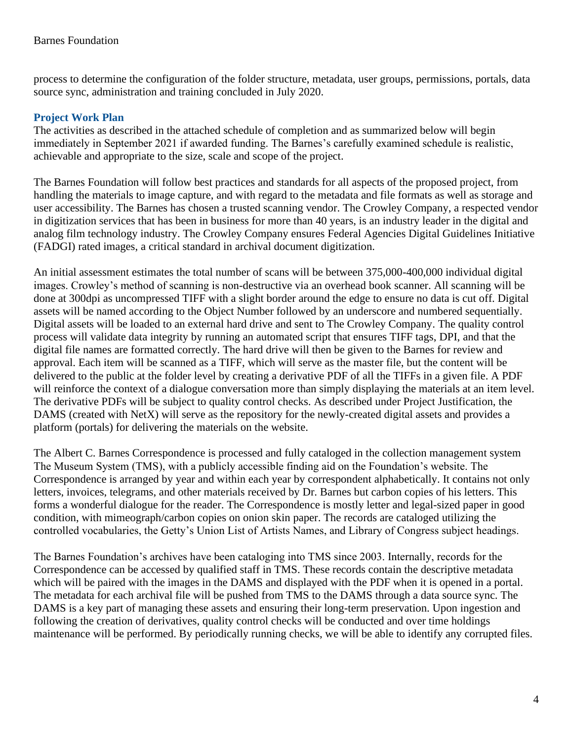process to determine the configuration of the folder structure, metadata, user groups, permissions, portals, data source sync, administration and training concluded in July 2020.

## **Project Work Plan**

The activities as described in the attached schedule of completion and as summarized below will begin immediately in September 2021 if awarded funding. The Barnes's carefully examined schedule is realistic, achievable and appropriate to the size, scale and scope of the project.

The Barnes Foundation will follow best practices and standards for all aspects of the proposed project, from handling the materials to image capture, and with regard to the metadata and file formats as well as storage and user accessibility. The Barnes has chosen a trusted scanning vendor. The Crowley Company, a respected vendor in digitization services that has been in business for more than 40 years, is an industry leader in the digital and analog film technology industry. The Crowley Company ensures Federal Agencies Digital Guidelines Initiative (FADGI) rated images, a critical standard in archival document digitization.

An initial assessment estimates the total number of scans will be between 375,000-400,000 individual digital images. Crowley's method of scanning is non-destructive via an overhead book scanner. All scanning will be done at 300dpi as uncompressed TIFF with a slight border around the edge to ensure no data is cut off. Digital assets will be named according to the Object Number followed by an underscore and numbered sequentially. Digital assets will be loaded to an external hard drive and sent to The Crowley Company. The quality control process will validate data integrity by running an automated script that ensures TIFF tags, DPI, and that the digital file names are formatted correctly. The hard drive will then be given to the Barnes for review and approval. Each item will be scanned as a TIFF, which will serve as the master file, but the content will be delivered to the public at the folder level by creating a derivative PDF of all the TIFFs in a given file. A PDF will reinforce the context of a dialogue conversation more than simply displaying the materials at an item level. The derivative PDFs will be subject to quality control checks. As described under Project Justification, the DAMS (created with NetX) will serve as the repository for the newly-created digital assets and provides a platform (portals) for delivering the materials on the website.

The Albert C. Barnes Correspondence is processed and fully cataloged in the collection management system The Museum System (TMS), with a publicly accessible finding aid on the Foundation's website. The Correspondence is arranged by year and within each year by correspondent alphabetically. It contains not only letters, invoices, telegrams, and other materials received by Dr. Barnes but carbon copies of his letters. This forms a wonderful dialogue for the reader. The Correspondence is mostly letter and legal-sized paper in good condition, with mimeograph/carbon copies on onion skin paper. The records are cataloged utilizing the controlled vocabularies, the Getty's Union List of Artists Names, and Library of Congress subject headings.

The Barnes Foundation's archives have been cataloging into TMS since 2003. Internally, records for the Correspondence can be accessed by qualified staff in TMS. These records contain the descriptive metadata which will be paired with the images in the DAMS and displayed with the PDF when it is opened in a portal. The metadata for each archival file will be pushed from TMS to the DAMS through a data source sync. The DAMS is a key part of managing these assets and ensuring their long-term preservation. Upon ingestion and following the creation of derivatives, quality control checks will be conducted and over time holdings maintenance will be performed. By periodically running checks, we will be able to identify any corrupted files.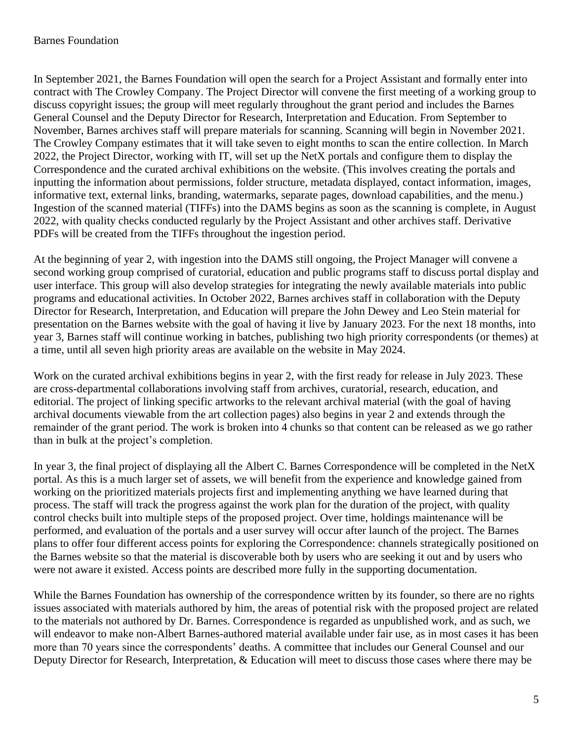In September 2021, the Barnes Foundation will open the search for a Project Assistant and formally enter into contract with The Crowley Company. The Project Director will convene the first meeting of a working group to discuss copyright issues; the group will meet regularly throughout the grant period and includes the Barnes General Counsel and the Deputy Director for Research, Interpretation and Education. From September to November, Barnes archives staff will prepare materials for scanning. Scanning will begin in November 2021. The Crowley Company estimates that it will take seven to eight months to scan the entire collection. In March 2022, the Project Director, working with IT, will set up the NetX portals and configure them to display the Correspondence and the curated archival exhibitions on the website. (This involves creating the portals and inputting the information about permissions, folder structure, metadata displayed, contact information, images, informative text, external links, branding, watermarks, separate pages, download capabilities, and the menu.) Ingestion of the scanned material (TIFFs) into the DAMS begins as soon as the scanning is complete, in August 2022, with quality checks conducted regularly by the Project Assistant and other archives staff. Derivative PDFs will be created from the TIFFs throughout the ingestion period.

At the beginning of year 2, with ingestion into the DAMS still ongoing, the Project Manager will convene a second working group comprised of curatorial, education and public programs staff to discuss portal display and user interface. This group will also develop strategies for integrating the newly available materials into public programs and educational activities. In October 2022, Barnes archives staff in collaboration with the Deputy Director for Research, Interpretation, and Education will prepare the John Dewey and Leo Stein material for presentation on the Barnes website with the goal of having it live by January 2023. For the next 18 months, into year 3, Barnes staff will continue working in batches, publishing two high priority correspondents (or themes) at a time, until all seven high priority areas are available on the website in May 2024.

Work on the curated archival exhibitions begins in year 2, with the first ready for release in July 2023. These are cross-departmental collaborations involving staff from archives, curatorial, research, education, and editorial. The project of linking specific artworks to the relevant archival material (with the goal of having archival documents viewable from the art collection pages) also begins in year 2 and extends through the remainder of the grant period. The work is broken into 4 chunks so that content can be released as we go rather than in bulk at the project's completion.

In year 3, the final project of displaying all the Albert C. Barnes Correspondence will be completed in the NetX portal. As this is a much larger set of assets, we will benefit from the experience and knowledge gained from working on the prioritized materials projects first and implementing anything we have learned during that process. The staff will track the progress against the work plan for the duration of the project, with quality control checks built into multiple steps of the proposed project. Over time, holdings maintenance will be performed, and evaluation of the portals and a user survey will occur after launch of the project. The Barnes plans to offer four different access points for exploring the Correspondence: channels strategically positioned on the Barnes website so that the material is discoverable both by users who are seeking it out and by users who were not aware it existed. Access points are described more fully in the supporting documentation.

While the Barnes Foundation has ownership of the correspondence written by its founder, so there are no rights issues associated with materials authored by him, the areas of potential risk with the proposed project are related to the materials not authored by Dr. Barnes. Correspondence is regarded as unpublished work, and as such, we will endeavor to make non-Albert Barnes-authored material available under fair use, as in most cases it has been more than 70 years since the correspondents' deaths. A committee that includes our General Counsel and our Deputy Director for Research, Interpretation, & Education will meet to discuss those cases where there may be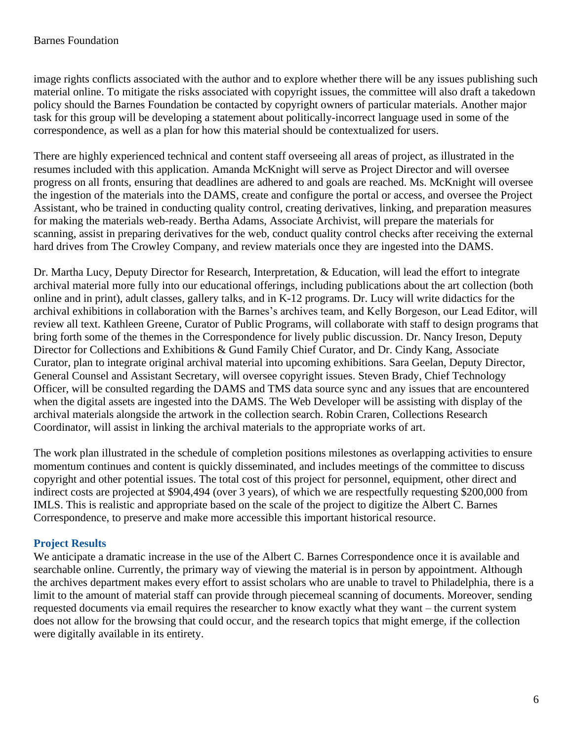image rights conflicts associated with the author and to explore whether there will be any issues publishing such material online. To mitigate the risks associated with copyright issues, the committee will also draft a takedown policy should the Barnes Foundation be contacted by copyright owners of particular materials. Another major task for this group will be developing a statement about politically-incorrect language used in some of the correspondence, as well as a plan for how this material should be contextualized for users.

There are highly experienced technical and content staff overseeing all areas of project, as illustrated in the resumes included with this application. Amanda McKnight will serve as Project Director and will oversee progress on all fronts, ensuring that deadlines are adhered to and goals are reached. Ms. McKnight will oversee the ingestion of the materials into the DAMS, create and configure the portal or access, and oversee the Project Assistant, who be trained in conducting quality control, creating derivatives, linking, and preparation measures for making the materials web-ready. Bertha Adams, Associate Archivist, will prepare the materials for scanning, assist in preparing derivatives for the web, conduct quality control checks after receiving the external hard drives from The Crowley Company, and review materials once they are ingested into the DAMS.

Dr. Martha Lucy, Deputy Director for Research, Interpretation, & Education, will lead the effort to integrate archival material more fully into our educational offerings, including publications about the art collection (both online and in print), adult classes, gallery talks, and in K-12 programs. Dr. Lucy will write didactics for the archival exhibitions in collaboration with the Barnes's archives team, and Kelly Borgeson, our Lead Editor, will review all text. Kathleen Greene, Curator of Public Programs, will collaborate with staff to design programs that bring forth some of the themes in the Correspondence for lively public discussion. Dr. Nancy Ireson, Deputy Director for Collections and Exhibitions & Gund Family Chief Curator, and Dr. Cindy Kang, Associate Curator, plan to integrate original archival material into upcoming exhibitions. Sara Geelan, Deputy Director, General Counsel and Assistant Secretary, will oversee copyright issues. Steven Brady, Chief Technology Officer, will be consulted regarding the DAMS and TMS data source sync and any issues that are encountered when the digital assets are ingested into the DAMS. The Web Developer will be assisting with display of the archival materials alongside the artwork in the collection search. Robin Craren, Collections Research Coordinator, will assist in linking the archival materials to the appropriate works of art.

The work plan illustrated in the schedule of completion positions milestones as overlapping activities to ensure momentum continues and content is quickly disseminated, and includes meetings of the committee to discuss copyright and other potential issues. The total cost of this project for personnel, equipment, other direct and indirect costs are projected at \$904,494 (over 3 years), of which we are respectfully requesting \$200,000 from IMLS. This is realistic and appropriate based on the scale of the project to digitize the Albert C. Barnes Correspondence, to preserve and make more accessible this important historical resource.

## **Project Results**

We anticipate a dramatic increase in the use of the Albert C. Barnes Correspondence once it is available and searchable online. Currently, the primary way of viewing the material is in person by appointment. Although the archives department makes every effort to assist scholars who are unable to travel to Philadelphia, there is a limit to the amount of material staff can provide through piecemeal scanning of documents. Moreover, sending requested documents via email requires the researcher to know exactly what they want – the current system does not allow for the browsing that could occur, and the research topics that might emerge, if the collection were digitally available in its entirety.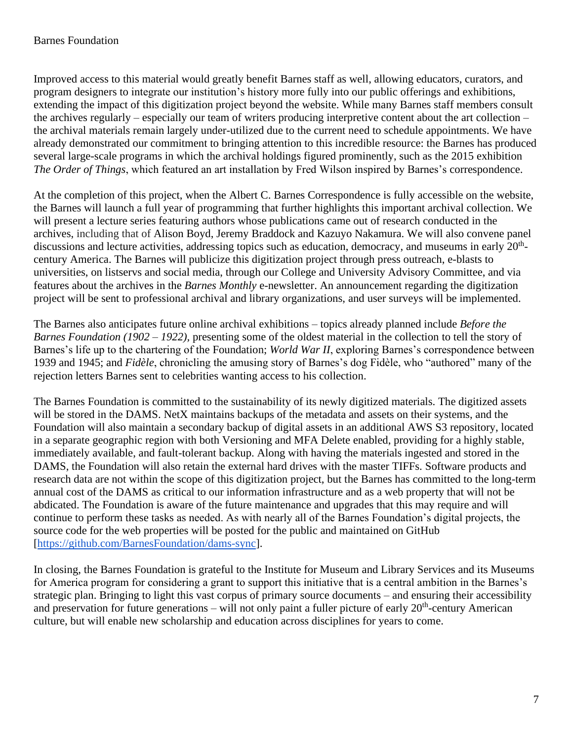Improved access to this material would greatly benefit Barnes staff as well, allowing educators, curators, and program designers to integrate our institution's history more fully into our public offerings and exhibitions, extending the impact of this digitization project beyond the website. While many Barnes staff members consult the archives regularly – especially our team of writers producing interpretive content about the art collection – the archival materials remain largely under-utilized due to the current need to schedule appointments. We have already demonstrated our commitment to bringing attention to this incredible resource: the Barnes has produced several large-scale programs in which the archival holdings figured prominently, such as the 2015 exhibition *The Order of Things*, which featured an art installation by Fred Wilson inspired by Barnes's correspondence.

At the completion of this project, when the Albert C. Barnes Correspondence is fully accessible on the website, the Barnes will launch a full year of programming that further highlights this important archival collection. We will present a lecture series featuring authors whose publications came out of research conducted in the archives, including that of Alison Boyd, Jeremy Braddock and Kazuyo Nakamura. We will also convene panel discussions and lecture activities, addressing topics such as education, democracy, and museums in early  $20<sup>th</sup>$ century America. The Barnes will publicize this digitization project through press outreach, e-blasts to universities, on listservs and social media, through our College and University Advisory Committee, and via features about the archives in the *Barnes Monthly* e-newsletter. An announcement regarding the digitization project will be sent to professional archival and library organizations, and user surveys will be implemented.

The Barnes also anticipates future online archival exhibitions – topics already planned include *Before the Barnes Foundation (1902 – 1922),* presenting some of the oldest material in the collection to tell the story of Barnes's life up to the chartering of the Foundation; *World War II*, exploring Barnes's correspondence between 1939 and 1945; and *Fidèle*, chronicling the amusing story of Barnes's dog Fidèle, who "authored" many of the rejection letters Barnes sent to celebrities wanting access to his collection.

The Barnes Foundation is committed to the sustainability of its newly digitized materials. The digitized assets will be stored in the DAMS. NetX maintains backups of the metadata and assets on their systems, and the Foundation will also maintain a secondary backup of digital assets in an additional AWS S3 repository, located in a separate geographic region with both Versioning and MFA Delete enabled, providing for a highly stable, immediately available, and fault-tolerant backup. Along with having the materials ingested and stored in the DAMS, the Foundation will also retain the external hard drives with the master TIFFs. Software products and research data are not within the scope of this digitization project, but the Barnes has committed to the long-term annual cost of the DAMS as critical to our information infrastructure and as a web property that will not be abdicated. The Foundation is aware of the future maintenance and upgrades that this may require and will continue to perform these tasks as needed. As with nearly all of the Barnes Foundation's digital projects, the source code for the web properties will be posted for the public and maintained on GitHub [\[https://github.com/BarnesFoundation/dams-sync\]](https://github.com/BarnesFoundation/dams-sync).

In closing, the Barnes Foundation is grateful to the Institute for Museum and Library Services and its Museums for America program for considering a grant to support this initiative that is a central ambition in the Barnes's strategic plan. Bringing to light this vast corpus of primary source documents – and ensuring their accessibility and preservation for future generations – will not only paint a fuller picture of early 20<sup>th</sup>-century American culture, but will enable new scholarship and education across disciplines for years to come.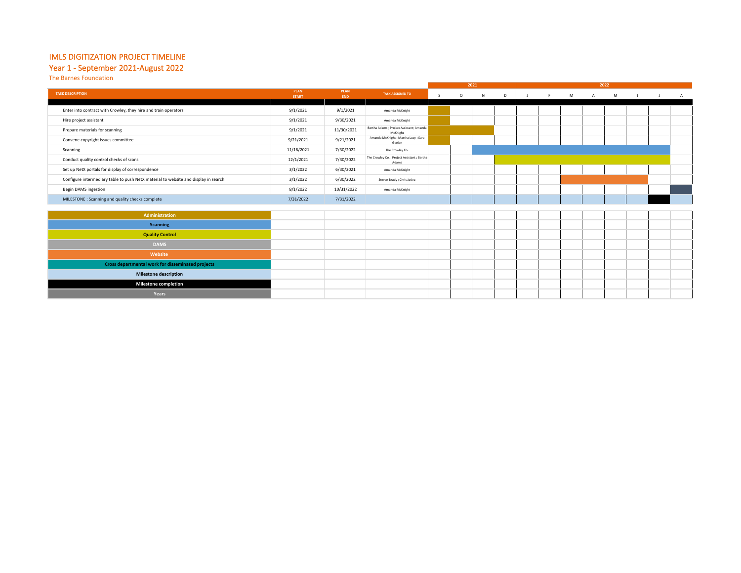#### IMLS DIGITIZATION PROJECT TIMELINE

### Year 1 - September 2021-August 2022

**Milestone completion Years**

The Barnes Foundation

|                                                                                     |                             |             |                                                       |              |         | 2021 |   | 2022 |  |   |                |   |  |  |                |
|-------------------------------------------------------------------------------------|-----------------------------|-------------|-------------------------------------------------------|--------------|---------|------|---|------|--|---|----------------|---|--|--|----------------|
| <b>TASK DESCRIPTION</b>                                                             | <b>PLAN</b><br><b>START</b> | PLAN<br>END | <b>TASK ASSIGNED TO</b>                               | <sub>S</sub> | $\circ$ | N    | D |      |  | M | $\overline{A}$ | M |  |  | $\overline{A}$ |
|                                                                                     |                             |             |                                                       |              |         |      |   |      |  |   |                |   |  |  |                |
| Enter into contract with Crowley, they hire and train operators                     | 9/1/2021                    | 9/1/2021    | Amanda McKnight                                       |              |         |      |   |      |  |   |                |   |  |  |                |
| Hire project assistant                                                              | 9/1/2021                    | 9/30/2021   | Amanda McKnight                                       |              |         |      |   |      |  |   |                |   |  |  |                |
| Prepare materials for scanning                                                      | 9/1/2021                    | 11/30/2021  | Bertha Adams ; Project Assistant; Amanda<br>McKnight  |              |         |      |   |      |  |   |                |   |  |  |                |
| Convene copyright issues committee                                                  | 9/21/2021                   | 9/21/2021   | Amanda McKnight ; Martha Lucy ; Sara<br>Geelan        |              |         |      |   |      |  |   |                |   |  |  |                |
| Scanning                                                                            | 11/16/2021                  | 7/30/2022   | The Crowley Co.                                       |              |         |      |   |      |  |   |                |   |  |  |                |
| Conduct quality control checks of scans                                             | 12/1/2021                   | 7/30/2022   | The Crowley Co. ; Project Assistant ; Bertha<br>Adams |              |         |      |   |      |  |   |                |   |  |  |                |
| Set up NetX portals for display of correspondence                                   | 3/1/2022                    | 6/30/2021   | Amanda McKnight                                       |              |         |      |   |      |  |   |                |   |  |  |                |
| Configure intermediary table to push NetX material to website and display in search | 3/1/2022                    | 6/30/2022   | Steven Brady ; Chris Jativa                           |              |         |      |   |      |  |   |                |   |  |  |                |
| <b>Begin DAMS ingestion</b>                                                         | 8/1/2022                    | 10/31/2022  | Amanda McKnight                                       |              |         |      |   |      |  |   |                |   |  |  |                |
| MILESTONE : Scanning and quality checks complete                                    | 7/31/2022                   | 7/31/2022   |                                                       |              |         |      |   |      |  |   |                |   |  |  |                |
|                                                                                     |                             |             |                                                       |              |         |      |   |      |  |   |                |   |  |  |                |
| Administration                                                                      |                             |             |                                                       |              |         |      |   |      |  |   |                |   |  |  |                |
| <b>Scanning</b>                                                                     |                             |             |                                                       |              |         |      |   |      |  |   |                |   |  |  |                |
| <b>Quality Control</b>                                                              |                             |             |                                                       |              |         |      |   |      |  |   |                |   |  |  |                |
| <b>DAMS</b>                                                                         |                             |             |                                                       |              |         |      |   |      |  |   |                |   |  |  |                |
| Website                                                                             |                             |             |                                                       |              |         |      |   |      |  |   |                |   |  |  |                |
| Cross departmental work for disseminated projects                                   |                             |             |                                                       |              |         |      |   |      |  |   |                |   |  |  |                |
| <b>Milestone description</b>                                                        |                             |             |                                                       |              |         |      |   |      |  |   |                |   |  |  |                |
| <b>Milestone completion</b>                                                         |                             |             |                                                       |              |         |      |   |      |  |   |                |   |  |  |                |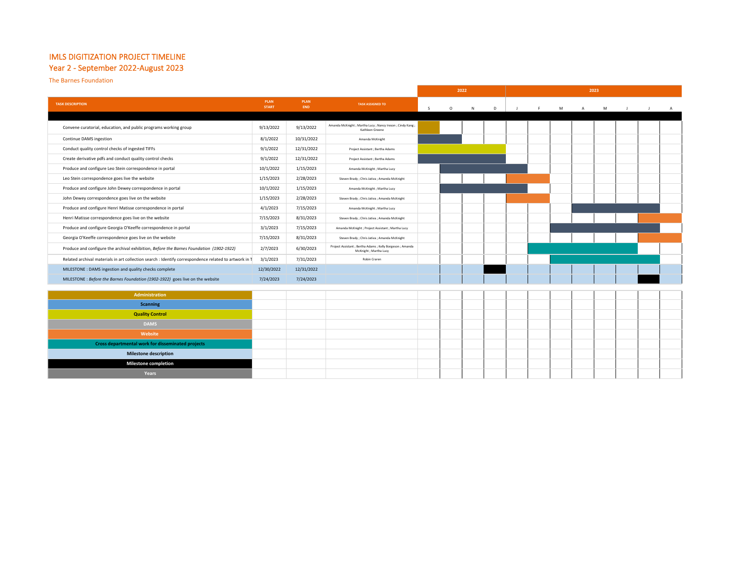## IMLS DIGITIZATION PROJECT TIMELINE

#### Year 2 - September 2022-August 2023

The Barnes Foundation

|                                                                                                       |                             |                    |                                                                                      | 2022 |         |   | 2023 |     |    |   |              |   |  |  |  |
|-------------------------------------------------------------------------------------------------------|-----------------------------|--------------------|--------------------------------------------------------------------------------------|------|---------|---|------|-----|----|---|--------------|---|--|--|--|
| <b>TASK DESCRIPTION</b>                                                                               | <b>PLAN</b><br><b>START</b> | <b>PLAN</b><br>END | <b>TASK ASSIGNED TO</b>                                                              | s.   | $\circ$ |   | D    | -11 | F. | M |              |   |  |  |  |
|                                                                                                       |                             |                    |                                                                                      |      |         | N |      |     |    |   | $\mathsf{A}$ | M |  |  |  |
| Convene curatorial, education, and public programs working group                                      | 9/13/2022                   | 9/13/2022          | Amanda McKnight ; Martha Lucy ; Nancy Ireson ; Cindy Kang ;<br>Kathleen Greene       |      |         |   |      |     |    |   |              |   |  |  |  |
| Continue DAMS ingestion                                                                               | 8/1/2022                    | 10/31/2022         | Amanda McKnight                                                                      |      |         |   |      |     |    |   |              |   |  |  |  |
| Conduct quality control checks of ingested TIFFs                                                      | 9/1/2022                    | 12/31/2022         | Project Assistant ; Bertha Adams                                                     |      |         |   |      |     |    |   |              |   |  |  |  |
| Create derivative pdfs and conduct quality control checks                                             | 9/1/2022                    | 12/31/2022         | Project Assistant ; Bertha Adams                                                     |      |         |   |      |     |    |   |              |   |  |  |  |
| Produce and configure Leo Stein correspondence in portal                                              | 10/1/2022                   | 1/15/2023          | Amanda McKnight; Martha Lucy                                                         |      |         |   |      |     |    |   |              |   |  |  |  |
| Leo Stein correspondence goes live the website                                                        | 1/15/2023                   | 2/28/2023          | Steven Brady ; Chris Jativa ; Amanda McKnight                                        |      |         |   |      |     |    |   |              |   |  |  |  |
| Produce and configure John Dewey correspondence in portal                                             | 10/1/2022                   | 1/15/2023          | Amanda McKnight ; Martha Lucy                                                        |      |         |   |      |     |    |   |              |   |  |  |  |
| John Dewey correspondence goes live on the website                                                    | 1/15/2023                   | 2/28/2023          | Steven Brady ; Chris Jativa ; Amanda McKnight                                        |      |         |   |      |     |    |   |              |   |  |  |  |
| Produce and configure Henri Matisse correspondence in portal                                          | 4/1/2023                    | 7/15/2023          | Amanda McKnight; Martha Lucy                                                         |      |         |   |      |     |    |   |              |   |  |  |  |
| Henri Matisse correspondence goes live on the website                                                 | 7/15/2023                   | 8/31/2023          | Steven Brady ; Chris Jativa ; Amanda McKnight                                        |      |         |   |      |     |    |   |              |   |  |  |  |
| Produce and configure Georgia O'Keeffe correspondence in portal                                       | 3/1/2023                    | 7/15/2023          | Amanda McKnight ; Project Assistant ; Martha Lucy                                    |      |         |   |      |     |    |   |              |   |  |  |  |
| Georgia O'Keeffe correspondence goes live on the website                                              | 7/15/2023                   | 8/31/2023          | Steven Brady ; Chris Jativa ; Amanda McKnight                                        |      |         |   |      |     |    |   |              |   |  |  |  |
| Produce and configure the archival exhibition, Before the Barnes Foundation (1902-1922)               | 2/7/2023                    | 6/30/2023          | Project Assistant ; Bertha Adams ; Kelly Borgeson ; Amanda<br>McKnight ; Martha Lucy |      |         |   |      |     |    |   |              |   |  |  |  |
| Related archival materials in art collection search : Identify correspondence related to artwork in 1 | 3/1/2023                    | 7/31/2023          | Robin Craren                                                                         |      |         |   |      |     |    |   |              |   |  |  |  |
| MILESTONE : DAMS ingestion and quality checks complete                                                | 12/30/2022                  | 12/31/2022         |                                                                                      |      |         |   |      |     |    |   |              |   |  |  |  |
| MILESTONE : Before the Barnes Foundation (1902-1922) goes live on the website                         | 7/24/2023                   | 7/24/2023          |                                                                                      |      |         |   |      |     |    |   |              |   |  |  |  |
|                                                                                                       |                             |                    |                                                                                      |      |         |   |      |     |    |   |              |   |  |  |  |
| <b>Administration</b>                                                                                 |                             |                    |                                                                                      |      |         |   |      |     |    |   |              |   |  |  |  |
| <b>Scanning</b>                                                                                       |                             |                    |                                                                                      |      |         |   |      |     |    |   |              |   |  |  |  |
| <b>Quality Control</b>                                                                                |                             |                    |                                                                                      |      |         |   |      |     |    |   |              |   |  |  |  |
| <b>DAMS</b>                                                                                           |                             |                    |                                                                                      |      |         |   |      |     |    |   |              |   |  |  |  |
| Website                                                                                               |                             |                    |                                                                                      |      |         |   |      |     |    |   |              |   |  |  |  |
| Cross departmental work for disseminated projects                                                     |                             |                    |                                                                                      |      |         |   |      |     |    |   |              |   |  |  |  |
| <b>Milestone description</b>                                                                          |                             |                    |                                                                                      |      |         |   |      |     |    |   |              |   |  |  |  |
| <b>Milestone completion</b>                                                                           |                             |                    |                                                                                      |      |         |   |      |     |    |   |              |   |  |  |  |
| <b>Years</b>                                                                                          |                             |                    |                                                                                      |      |         |   |      |     |    |   |              |   |  |  |  |